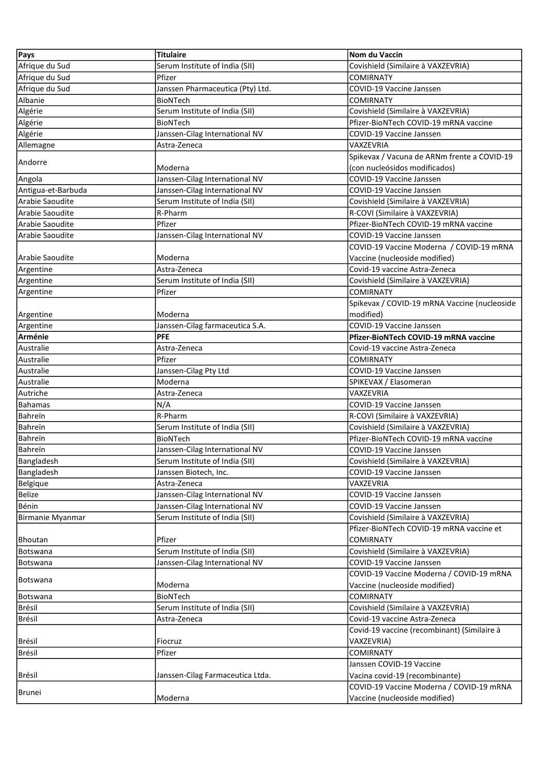| <b>Pays</b>        | <b>Titulaire</b>                 | Nom du Vaccin                                |
|--------------------|----------------------------------|----------------------------------------------|
| Afrique du Sud     | Serum Institute of India (SII)   | Covishield (Similaire à VAXZEVRIA)           |
| Afrique du Sud     | Pfizer                           | <b>COMIRNATY</b>                             |
| Afrique du Sud     | Janssen Pharmaceutica (Pty) Ltd. | COVID-19 Vaccine Janssen                     |
| Albanie            | <b>BioNTech</b>                  | <b>COMIRNATY</b>                             |
| Algérie            | Serum Institute of India (SII)   | Covishield (Similaire à VAXZEVRIA)           |
| Algérie            | <b>BioNTech</b>                  | Pfizer-BioNTech COVID-19 mRNA vaccine        |
| Algérie            | Janssen-Cilag International NV   | COVID-19 Vaccine Janssen                     |
| Allemagne          | Astra-Zeneca                     | VAXZEVRIA                                    |
|                    |                                  | Spikevax / Vacuna de ARNm frente a COVID-19  |
| Andorre            | Moderna                          | (con nucleósidos modificados)                |
| Angola             | Janssen-Cilag International NV   | COVID-19 Vaccine Janssen                     |
| Antigua-et-Barbuda | Janssen-Cilag International NV   | COVID-19 Vaccine Janssen                     |
| Arabie Saoudite    | Serum Institute of India (SII)   | Covishield (Similaire à VAXZEVRIA)           |
| Arabie Saoudite    | R-Pharm                          | R-COVI (Similaire à VAXZEVRIA)               |
| Arabie Saoudite    | Pfizer                           | Pfizer-BioNTech COVID-19 mRNA vaccine        |
| Arabie Saoudite    | Janssen-Cilag International NV   | COVID-19 Vaccine Janssen                     |
|                    |                                  | COVID-19 Vaccine Moderna / COVID-19 mRNA     |
| Arabie Saoudite    | Moderna                          | Vaccine (nucleoside modified)                |
| Argentine          | Astra-Zeneca                     | Covid-19 vaccine Astra-Zeneca                |
| Argentine          | Serum Institute of India (SII)   | Covishield (Similaire à VAXZEVRIA)           |
| Argentine          | Pfizer                           | <b>COMIRNATY</b>                             |
|                    |                                  | Spikevax / COVID-19 mRNA Vaccine (nucleoside |
| Argentine          | Moderna                          | modified)                                    |
| Argentine          | Janssen-Cilag farmaceutica S.A.  | COVID-19 Vaccine Janssen                     |
| Arménie            | <b>PFE</b>                       | Pfizer-BioNTech COVID-19 mRNA vaccine        |
| Australie          | Astra-Zeneca                     | Covid-19 vaccine Astra-Zeneca                |
| Australie          | Pfizer                           | <b>COMIRNATY</b>                             |
| Australie          | Janssen-Cilag Pty Ltd            | COVID-19 Vaccine Janssen                     |
| Australie          | Moderna                          | SPIKEVAX / Elasomeran                        |
| Autriche           | Astra-Zeneca                     | VAXZEVRIA                                    |
| Bahamas            | N/A                              | COVID-19 Vaccine Janssen                     |
| Bahreïn            | R-Pharm                          | R-COVI (Similaire à VAXZEVRIA)               |
| Bahreïn            | Serum Institute of India (SII)   | Covishield (Similaire à VAXZEVRIA)           |
| Bahreïn            | <b>BioNTech</b>                  | Pfizer-BioNTech COVID-19 mRNA vaccine        |
| Bahreïn            | Janssen-Cilag International NV   | COVID-19 Vaccine Janssen                     |
| Bangladesh         | Serum Institute of India (SII)   | Covishield (Similaire à VAXZEVRIA)           |
| Bangladesh         | Janssen Biotech, Inc.            | COVID-19 Vaccine Janssen                     |
| <b>Belgique</b>    | Astra-Zeneca                     | VAXZEVRIA                                    |
| <b>Belize</b>      | Janssen-Cilag International NV   | COVID-19 Vaccine Janssen                     |
| Bénin              | Janssen-Cilag International NV   | COVID-19 Vaccine Janssen                     |
| Birmanie Myanmar   | Serum Institute of India (SII)   | Covishield (Similaire à VAXZEVRIA)           |
|                    |                                  | Pfizer-BioNTech COVID-19 mRNA vaccine et     |
| Bhoutan            | Pfizer                           | <b>COMIRNATY</b>                             |
| <b>Botswana</b>    | Serum Institute of India (SII)   | Covishield (Similaire à VAXZEVRIA)           |
| <b>Botswana</b>    | Janssen-Cilag International NV   | COVID-19 Vaccine Janssen                     |
| <b>Botswana</b>    |                                  | COVID-19 Vaccine Moderna / COVID-19 mRNA     |
|                    | Moderna                          | Vaccine (nucleoside modified)                |
| Botswana           | BioNTech                         | <b>COMIRNATY</b>                             |
| Brésil             | Serum Institute of India (SII)   | Covishield (Similaire à VAXZEVRIA)           |
| Brésil             | Astra-Zeneca                     | Covid-19 vaccine Astra-Zeneca                |
|                    |                                  | Covid-19 vaccine (recombinant) (Similaire à  |
| Brésil             | Fiocruz                          | VAXZEVRIA)                                   |
| Brésil             | Pfizer                           | <b>COMIRNATY</b>                             |
|                    |                                  | Janssen COVID-19 Vaccine                     |
| Brésil             | Janssen-Cilag Farmaceutica Ltda. | Vacina covid-19 (recombinante)               |
| Brunei             |                                  | COVID-19 Vaccine Moderna / COVID-19 mRNA     |
|                    | Moderna                          | Vaccine (nucleoside modified)                |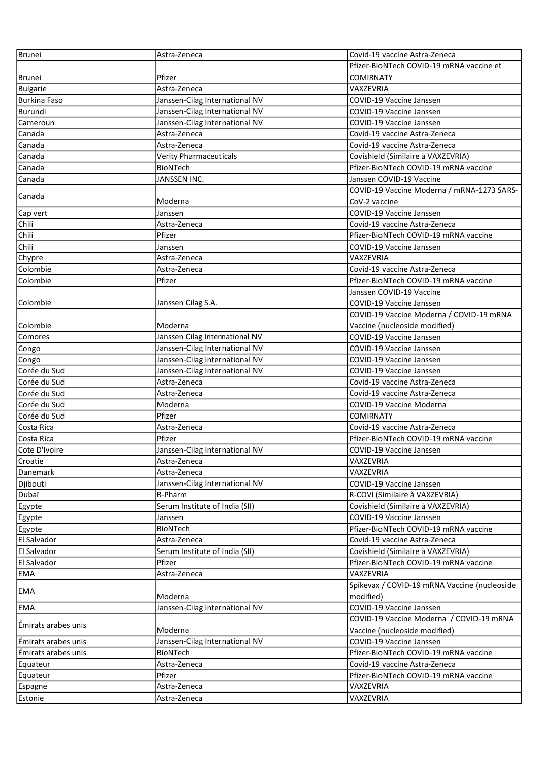| Brunei                | Astra-Zeneca                   | Covid-19 vaccine Astra-Zeneca                |
|-----------------------|--------------------------------|----------------------------------------------|
|                       |                                | Pfizer-BioNTech COVID-19 mRNA vaccine et     |
| Brunei                | Pfizer                         | <b>COMIRNATY</b>                             |
| <b>Bulgarie</b>       | Astra-Zeneca                   | <b>VAXZEVRIA</b>                             |
| Burkina Faso          | Janssen-Cilag International NV | <b>COVID-19 Vaccine Janssen</b>              |
| Burundi               | Janssen-Cilag International NV | <b>COVID-19 Vaccine Janssen</b>              |
| Cameroun              | Janssen-Cilag International NV | <b>COVID-19 Vaccine Janssen</b>              |
| Canada                | Astra-Zeneca                   | Covid-19 vaccine Astra-Zeneca                |
| Canada                | Astra-Zeneca                   | Covid-19 vaccine Astra-Zeneca                |
| Canada                | <b>Verity Pharmaceuticals</b>  | Covishield (Similaire à VAXZEVRIA)           |
| Canada                | BioNTech                       | Pfizer-BioNTech COVID-19 mRNA vaccine        |
| Canada                | JANSSEN INC.                   | Janssen COVID-19 Vaccine                     |
|                       |                                | COVID-19 Vaccine Moderna / mRNA-1273 SARS-   |
| Canada                | Moderna                        | CoV-2 vaccine                                |
| Cap vert              | Janssen                        | COVID-19 Vaccine Janssen                     |
| Chili                 | Astra-Zeneca                   | Covid-19 vaccine Astra-Zeneca                |
| Chili                 | Pfizer                         | Pfizer-BioNTech COVID-19 mRNA vaccine        |
| Chili                 | Janssen                        | COVID-19 Vaccine Janssen                     |
| Chypre                | Astra-Zeneca                   | VAXZEVRIA                                    |
| Colombie              | Astra-Zeneca                   | Covid-19 vaccine Astra-Zeneca                |
| Colombie              | Pfizer                         | Pfizer-BioNTech COVID-19 mRNA vaccine        |
|                       |                                | Janssen COVID-19 Vaccine                     |
| Colombie              | Janssen Cilag S.A.             | COVID-19 Vaccine Janssen                     |
|                       |                                | COVID-19 Vaccine Moderna / COVID-19 mRNA     |
| Colombie              | Moderna                        | Vaccine (nucleoside modified)                |
| Comores               | Janssen Cilag International NV | COVID-19 Vaccine Janssen                     |
| Congo                 | Janssen-Cilag International NV | <b>COVID-19 Vaccine Janssen</b>              |
| Congo                 | Janssen-Cilag International NV | <b>COVID-19 Vaccine Janssen</b>              |
| Corée du Sud          | Janssen-Cilag International NV | COVID-19 Vaccine Janssen                     |
| Corée du Sud          | Astra-Zeneca                   | Covid-19 vaccine Astra-Zeneca                |
| Corée du Sud          | Astra-Zeneca                   | Covid-19 vaccine Astra-Zeneca                |
| Corée du Sud          | Moderna                        | COVID-19 Vaccine Moderna                     |
| Corée du Sud          | Pfizer                         | <b>COMIRNATY</b>                             |
| Costa Rica            | Astra-Zeneca                   | Covid-19 vaccine Astra-Zeneca                |
| Costa Rica            | Pfizer                         | Pfizer-BioNTech COVID-19 mRNA vaccine        |
| Cote D'Ivoire         | Janssen-Cilag International NV | COVID-19 Vaccine Janssen                     |
| Croatie               | Astra-Zeneca                   | VAXZEVRIA                                    |
| Danemark              | Astra-Zeneca                   | VAXZEVRIA                                    |
| Djibouti              | Janssen-Cilag International NV | COVID-19 Vaccine Janssen                     |
| Dubaï                 | R-Pharm                        | R-COVI (Similaire à VAXZEVRIA)               |
|                       | Serum Institute of India (SII) | Covishield (Similaire à VAXZEVRIA)           |
| <b>Egypte</b>         |                                | COVID-19 Vaccine Janssen                     |
| Egypte                | Janssen<br>BioNTech            | Pfizer-BioNTech COVID-19 mRNA vaccine        |
| Egypte<br>El Salvador | Astra-Zeneca                   | Covid-19 vaccine Astra-Zeneca                |
| El Salvador           | Serum Institute of India (SII) | Covishield (Similaire à VAXZEVRIA)           |
|                       |                                |                                              |
| El Salvador           | Pfizer                         | Pfizer-BioNTech COVID-19 mRNA vaccine        |
| EMA                   | Astra-Zeneca                   | VAXZEVRIA                                    |
| EMA                   | Moderna                        | Spikevax / COVID-19 mRNA Vaccine (nucleoside |
|                       |                                | modified)                                    |
| EMA                   | Janssen-Cilag International NV | COVID-19 Vaccine Janssen                     |
| Emirats arabes unis   |                                | COVID-19 Vaccine Moderna / COVID-19 mRNA     |
|                       | Moderna                        | Vaccine (nucleoside modified)                |
| Emirats arabes unis   | Janssen-Cilag International NV | <b>COVID-19 Vaccine Janssen</b>              |
| Emirats arabes unis   | <b>BioNTech</b>                | Pfizer-BioNTech COVID-19 mRNA vaccine        |
| Equateur              | Astra-Zeneca                   | Covid-19 vaccine Astra-Zeneca                |
| Equateur              | Pfizer                         | Pfizer-BioNTech COVID-19 mRNA vaccine        |
| Espagne               | Astra-Zeneca                   | VAXZEVRIA                                    |
| <b>Estonie</b>        | Astra-Zeneca                   | VAXZEVRIA                                    |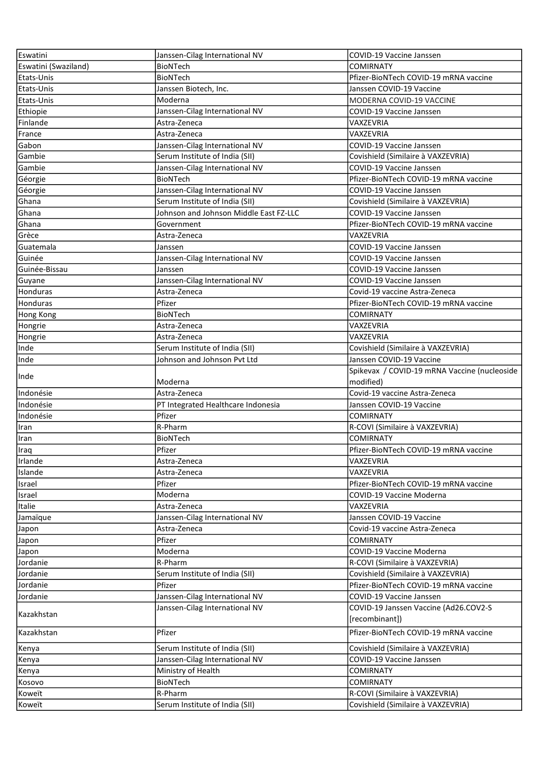| Eswatini             | Janssen-Cilag International NV         | COVID-19 Vaccine Janssen                                |
|----------------------|----------------------------------------|---------------------------------------------------------|
| Eswatini (Swaziland) | BioNTech                               | <b>COMIRNATY</b>                                        |
| Etats-Unis           | <b>BioNTech</b>                        | Pfizer-BioNTech COVID-19 mRNA vaccine                   |
| Etats-Unis           | Janssen Biotech, Inc.                  | Janssen COVID-19 Vaccine                                |
| Etats-Unis           | Moderna                                | MODERNA COVID-19 VACCINE                                |
| Ethiopie             | Janssen-Cilag International NV         | COVID-19 Vaccine Janssen                                |
| Finlande             | Astra-Zeneca                           | VAXZEVRIA                                               |
| France               | Astra-Zeneca                           | VAXZEVRIA                                               |
| Gabon                | Janssen-Cilag International NV         | <b>COVID-19 Vaccine Janssen</b>                         |
| Gambie               | Serum Institute of India (SII)         | Covishield (Similaire à VAXZEVRIA)                      |
| Gambie               | Janssen-Cilag International NV         | COVID-19 Vaccine Janssen                                |
| Géorgie              | <b>BioNTech</b>                        | Pfizer-BioNTech COVID-19 mRNA vaccine                   |
| Géorgie              | Janssen-Cilag International NV         | COVID-19 Vaccine Janssen                                |
| Ghana                | Serum Institute of India (SII)         | Covishield (Similaire à VAXZEVRIA)                      |
| Ghana                | Johnson and Johnson Middle East FZ-LLC | COVID-19 Vaccine Janssen                                |
| Ghana                | Government                             | Pfizer-BioNTech COVID-19 mRNA vaccine                   |
| Grèce                | Astra-Zeneca                           | VAXZEVRIA                                               |
| Guatemala            | Janssen                                | COVID-19 Vaccine Janssen                                |
| Guinée               | Janssen-Cilag International NV         | COVID-19 Vaccine Janssen                                |
| Guinée-Bissau        | Janssen                                | <b>COVID-19 Vaccine Janssen</b>                         |
| Guyane               | Janssen-Cilag International NV         | COVID-19 Vaccine Janssen                                |
| Honduras             | Astra-Zeneca                           | Covid-19 vaccine Astra-Zeneca                           |
| <b>Honduras</b>      | Pfizer                                 | Pfizer-BioNTech COVID-19 mRNA vaccine                   |
| Hong Kong            | <b>BioNTech</b>                        | <b>COMIRNATY</b>                                        |
| Hongrie              | Astra-Zeneca                           | VAXZEVRIA                                               |
| Hongrie              | Astra-Zeneca                           | VAXZEVRIA                                               |
| Inde                 | Serum Institute of India (SII)         | Covishield (Similaire à VAXZEVRIA)                      |
| Inde                 | Johnson and Johnson Pvt Ltd            | Janssen COVID-19 Vaccine                                |
|                      |                                        | Spikevax / COVID-19 mRNA Vaccine (nucleoside            |
| Inde                 | Moderna                                | modified)                                               |
| Indonésie            | Astra-Zeneca                           | Covid-19 vaccine Astra-Zeneca                           |
| Indonésie            | PT Integrated Healthcare Indonesia     | Janssen COVID-19 Vaccine                                |
| Indonésie            | Pfizer                                 | <b>COMIRNATY</b>                                        |
| Iran                 | R-Pharm                                | R-COVI (Similaire à VAXZEVRIA)                          |
| Iran                 | <b>BioNTech</b>                        | <b>COMIRNATY</b>                                        |
| Iraq                 | Pfizer                                 | Pfizer-BioNTech COVID-19 mRNA vaccine                   |
| Irlande              | Astra-Zeneca                           | VAXZEVRIA                                               |
| Islande              | Astra-Zeneca                           | VAXZEVRIA                                               |
| Israel               | Pfizer                                 | Pfizer-BioNTech COVID-19 mRNA vaccine                   |
| Israel               | Moderna                                | <b>COVID-19 Vaccine Moderna</b>                         |
| Italie               | Astra-Zeneca                           | VAXZEVRIA                                               |
| Jamaïque             | Janssen-Cilag International NV         | Janssen COVID-19 Vaccine                                |
| Japon                | Astra-Zeneca                           | Covid-19 vaccine Astra-Zeneca                           |
| Japon                | Pfizer                                 | <b>COMIRNATY</b>                                        |
| Japon                | Moderna                                | COVID-19 Vaccine Moderna                                |
| Jordanie             | R-Pharm                                | R-COVI (Similaire à VAXZEVRIA)                          |
| Jordanie             | Serum Institute of India (SII)         | Covishield (Similaire à VAXZEVRIA)                      |
| Jordanie             | Pfizer                                 | Pfizer-BioNTech COVID-19 mRNA vaccine                   |
| Jordanie             | Janssen-Cilag International NV         | COVID-19 Vaccine Janssen                                |
|                      |                                        |                                                         |
| Kazakhstan           | Janssen-Cilag International NV         | COVID-19 Janssen Vaccine (Ad26.COV2-S<br>[recombinant]) |
| Kazakhstan           | Pfizer                                 | Pfizer-BioNTech COVID-19 mRNA vaccine                   |
| Kenya                | Serum Institute of India (SII)         | Covishield (Similaire à VAXZEVRIA)                      |
| Kenya                | Janssen-Cilag International NV         | COVID-19 Vaccine Janssen                                |
| Kenya                | Ministry of Health                     | <b>COMIRNATY</b>                                        |
| Kosovo               | BioNTech                               | <b>COMIRNATY</b>                                        |
| Koweït               | R-Pharm                                | R-COVI (Similaire à VAXZEVRIA)                          |
| Koweït               | Serum Institute of India (SII)         | Covishield (Similaire à VAXZEVRIA)                      |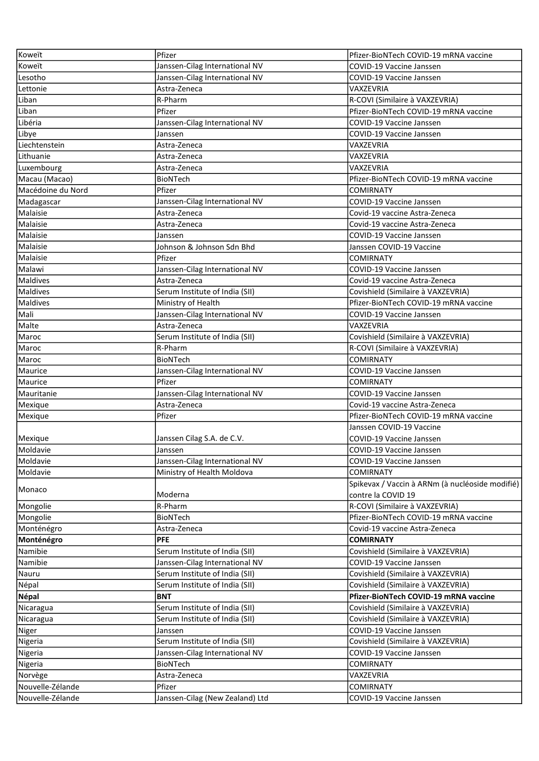| Koweït             | Pfizer                                                           | Pfizer-BioNTech COVID-19 mRNA vaccine           |
|--------------------|------------------------------------------------------------------|-------------------------------------------------|
| Koweït             | Janssen-Cilag International NV                                   | COVID-19 Vaccine Janssen                        |
| Lesotho            | Janssen-Cilag International NV                                   | <b>COVID-19 Vaccine Janssen</b>                 |
| Lettonie           | Astra-Zeneca                                                     | VAXZEVRIA                                       |
| Liban              | R-Pharm                                                          | R-COVI (Similaire à VAXZEVRIA)                  |
| Liban              | Pfizer                                                           | Pfizer-BioNTech COVID-19 mRNA vaccine           |
| Libéria            | Janssen-Cilag International NV                                   | COVID-19 Vaccine Janssen                        |
| Libye              | Janssen                                                          | COVID-19 Vaccine Janssen                        |
| Liechtenstein      | Astra-Zeneca                                                     | VAXZEVRIA                                       |
| Lithuanie          | Astra-Zeneca                                                     | VAXZEVRIA                                       |
| Luxembourg         | Astra-Zeneca                                                     | VAXZEVRIA                                       |
| Macau (Macao)      | <b>BioNTech</b>                                                  | Pfizer-BioNTech COVID-19 mRNA vaccine           |
| Macédoine du Nord  | Pfizer                                                           | <b>COMIRNATY</b>                                |
| Madagascar         | Janssen-Cilag International NV                                   | COVID-19 Vaccine Janssen                        |
| Malaisie           | Astra-Zeneca                                                     | Covid-19 vaccine Astra-Zeneca                   |
| Malaisie           | Astra-Zeneca                                                     | Covid-19 vaccine Astra-Zeneca                   |
| Malaisie           | Janssen                                                          | COVID-19 Vaccine Janssen                        |
| Malaisie           | Johnson & Johnson Sdn Bhd                                        | Janssen COVID-19 Vaccine                        |
| Malaisie           | Pfizer                                                           | <b>COMIRNATY</b>                                |
| Malawi             | Janssen-Cilag International NV                                   | COVID-19 Vaccine Janssen                        |
| Maldives           | Astra-Zeneca                                                     | Covid-19 vaccine Astra-Zeneca                   |
| Maldives           | Serum Institute of India (SII)                                   | Covishield (Similaire à VAXZEVRIA)              |
| Maldives           | Ministry of Health                                               | Pfizer-BioNTech COVID-19 mRNA vaccine           |
| Mali               | Janssen-Cilag International NV                                   | COVID-19 Vaccine Janssen                        |
| Malte              | Astra-Zeneca                                                     | VAXZEVRIA                                       |
| Maroc              | Serum Institute of India (SII)                                   | Covishield (Similaire à VAXZEVRIA)              |
| Maroc              | R-Pharm                                                          | R-COVI (Similaire à VAXZEVRIA)                  |
| Maroc              | <b>BioNTech</b>                                                  | <b>COMIRNATY</b>                                |
| Maurice            | Janssen-Cilag International NV                                   | COVID-19 Vaccine Janssen                        |
|                    |                                                                  |                                                 |
| Maurice            | Pfizer                                                           | <b>COMIRNATY</b>                                |
| Mauritanie         |                                                                  | COVID-19 Vaccine Janssen                        |
| Mexique            | Janssen-Cilag International NV<br>Astra-Zeneca                   | Covid-19 vaccine Astra-Zeneca                   |
| Mexique            | Pfizer                                                           | Pfizer-BioNTech COVID-19 mRNA vaccine           |
|                    |                                                                  | Janssen COVID-19 Vaccine                        |
| Mexique            | Janssen Cilag S.A. de C.V.                                       | COVID-19 Vaccine Janssen                        |
| Moldavie           | Janssen                                                          | COVID-19 Vaccine Janssen                        |
| Moldavie           | Janssen-Cilag International NV                                   | COVID-19 Vaccine Janssen                        |
| Moldavie           | Ministry of Health Moldova                                       | <b>COMIRNATY</b>                                |
|                    |                                                                  | Spikevax / Vaccin à ARNm (à nucléoside modifié) |
| Monaco             | Moderna                                                          | contre la COVID 19                              |
| Mongolie           | R-Pharm                                                          | R-COVI (Similaire à VAXZEVRIA)                  |
| Mongolie           | BioNTech                                                         | Pfizer-BioNTech COVID-19 mRNA vaccine           |
| Monténégro         | Astra-Zeneca                                                     | Covid-19 vaccine Astra-Zeneca                   |
| Monténégro         | <b>PFE</b>                                                       | <b>COMIRNATY</b>                                |
| Namibie            | Serum Institute of India (SII)                                   | Covishield (Similaire à VAXZEVRIA)              |
| Namibie            |                                                                  | COVID-19 Vaccine Janssen                        |
| Nauru              | Janssen-Cilag International NV<br>Serum Institute of India (SII) | Covishield (Similaire à VAXZEVRIA)              |
| Népal              | Serum Institute of India (SII)                                   | Covishield (Similaire à VAXZEVRIA)              |
| Népal              | <b>BNT</b>                                                       | Pfizer-BioNTech COVID-19 mRNA vaccine           |
| Nicaragua          | Serum Institute of India (SII)                                   | Covishield (Similaire à VAXZEVRIA)              |
| Nicaragua          | Serum Institute of India (SII)                                   | Covishield (Similaire à VAXZEVRIA)              |
|                    | Janssen                                                          | COVID-19 Vaccine Janssen                        |
| Niger<br>Nigeria   | Serum Institute of India (SII)                                   | Covishield (Similaire à VAXZEVRIA)              |
| Nigeria            | Janssen-Cilag International NV                                   | COVID-19 Vaccine Janssen                        |
|                    | <b>BioNTech</b>                                                  | <b>COMIRNATY</b>                                |
| Nigeria<br>Norvège | Astra-Zeneca                                                     | VAXZEVRIA                                       |
| Nouvelle-Zélande   | Pfizer                                                           | <b>COMIRNATY</b>                                |
| Nouvelle-Zélande   | Janssen-Cilag (New Zealand) Ltd                                  | COVID-19 Vaccine Janssen                        |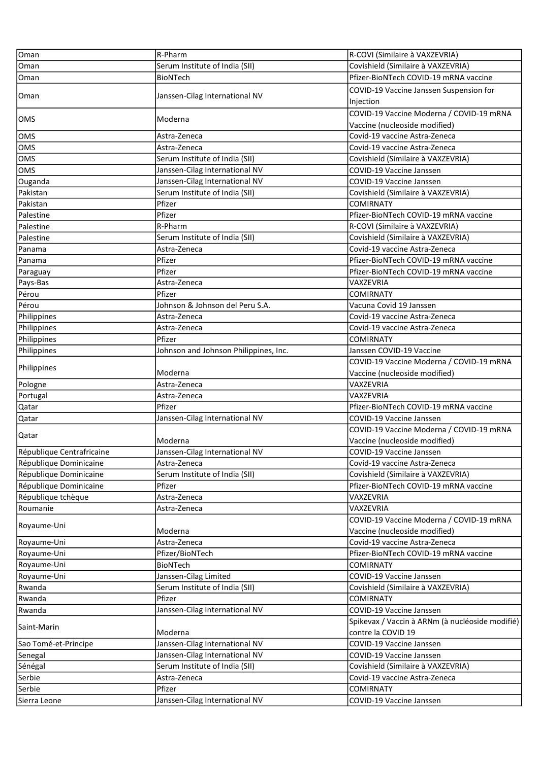| Oman                      | R-Pharm                                  | R-COVI (Similaire à VAXZEVRIA)                  |
|---------------------------|------------------------------------------|-------------------------------------------------|
| Oman                      | Serum Institute of India (SII)           | Covishield (Similaire à VAXZEVRIA)              |
| Oman                      | <b>BioNTech</b>                          | Pfizer-BioNTech COVID-19 mRNA vaccine           |
|                           |                                          | COVID-19 Vaccine Janssen Suspension for         |
| Oman                      | Janssen-Cilag International NV           | Injection                                       |
|                           |                                          | COVID-19 Vaccine Moderna / COVID-19 mRNA        |
| OMS                       | Moderna                                  | Vaccine (nucleoside modified)                   |
| <b>OMS</b>                | Astra-Zeneca                             | Covid-19 vaccine Astra-Zeneca                   |
| <b>OMS</b>                | Astra-Zeneca                             | Covid-19 vaccine Astra-Zeneca                   |
| <b>OMS</b>                | Serum Institute of India (SII)           | Covishield (Similaire à VAXZEVRIA)              |
| <b>OMS</b>                | Janssen-Cilag International NV           | <b>COVID-19 Vaccine Janssen</b>                 |
| Ouganda                   | Janssen-Cilag International NV           | <b>COVID-19 Vaccine Janssen</b>                 |
| Pakistan                  | Serum Institute of India (SII)           | Covishield (Similaire à VAXZEVRIA)              |
| Pakistan                  | Pfizer                                   | <b>COMIRNATY</b>                                |
| Palestine                 | Pfizer                                   | Pfizer-BioNTech COVID-19 mRNA vaccine           |
| Palestine                 | R-Pharm                                  | R-COVI (Similaire à VAXZEVRIA)                  |
| Palestine                 | Serum Institute of India (SII)           | Covishield (Similaire à VAXZEVRIA)              |
| Panama                    | Astra-Zeneca                             | Covid-19 vaccine Astra-Zeneca                   |
| Panama                    | Pfizer                                   | Pfizer-BioNTech COVID-19 mRNA vaccine           |
| Paraguay                  | Pfizer                                   | Pfizer-BioNTech COVID-19 mRNA vaccine           |
| Pays-Bas                  | Astra-Zeneca                             | VAXZEVRIA                                       |
| Pérou                     | Pfizer                                   | <b>COMIRNATY</b>                                |
| Pérou                     | Johnson & Johnson del Peru S.A.          | Vacuna Covid 19 Janssen                         |
| Philippines               | Astra-Zeneca                             | Covid-19 vaccine Astra-Zeneca                   |
| Philippines               | Astra-Zeneca                             | Covid-19 vaccine Astra-Zeneca                   |
| Philippines               | Pfizer                                   | <b>COMIRNATY</b>                                |
| Philippines               | Johnson and Johnson Philippines, Inc.    | Janssen COVID-19 Vaccine                        |
|                           |                                          | COVID-19 Vaccine Moderna / COVID-19 mRNA        |
| Philippines               | Moderna                                  | Vaccine (nucleoside modified)                   |
|                           |                                          |                                                 |
| Pologne                   | Astra-Zeneca                             | VAXZEVRIA                                       |
| Portugal                  | Astra-Zeneca                             | VAXZEVRIA                                       |
| Qatar                     | Pfizer                                   | Pfizer-BioNTech COVID-19 mRNA vaccine           |
| Qatar                     | Janssen-Cilag International NV           | COVID-19 Vaccine Janssen                        |
|                           |                                          | COVID-19 Vaccine Moderna / COVID-19 mRNA        |
| Qatar                     | Moderna                                  | Vaccine (nucleoside modified)                   |
| République Centrafricaine | Janssen-Cilag International NV           | COVID-19 Vaccine Janssen                        |
| République Dominicaine    | Astra-Zeneca                             | Covid-19 vaccine Astra-Zeneca                   |
| République Dominicaine    | Serum Institute of India (SII)           | Covishield (Similaire à VAXZEVRIA)              |
| République Dominicaine    | Pfizer                                   | Pfizer-BioNTech COVID-19 mRNA vaccine           |
| République tchèque        | Astra-Zeneca                             | VAXZEVRIA                                       |
| Roumanie                  | Astra-Zeneca                             | VAXZEVRIA                                       |
|                           |                                          | COVID-19 Vaccine Moderna / COVID-19 mRNA        |
| Royaume-Uni               | Moderna                                  | Vaccine (nucleoside modified)                   |
| Royaume-Uni               | Astra-Zeneca                             | Covid-19 vaccine Astra-Zeneca                   |
| Royaume-Uni               | Pfizer/BioNTech                          | Pfizer-BioNTech COVID-19 mRNA vaccine           |
| Royaume-Uni               | BioNTech                                 | <b>COMIRNATY</b>                                |
| Royaume-Uni               | Janssen-Cilag Limited                    | COVID-19 Vaccine Janssen                        |
| Rwanda                    | Serum Institute of India (SII)           | Covishield (Similaire à VAXZEVRIA)              |
| Rwanda                    | Pfizer                                   | <b>COMIRNATY</b>                                |
| Rwanda                    | Janssen-Cilag International NV           | COVID-19 Vaccine Janssen                        |
| Saint-Marin               |                                          | Spikevax / Vaccin à ARNm (à nucléoside modifié) |
|                           | Moderna                                  | contre la COVID 19                              |
| Sao Tomé-et-Principe      | Janssen-Cilag International NV           | COVID-19 Vaccine Janssen                        |
| Senegal                   | Janssen-Cilag International NV           | COVID-19 Vaccine Janssen                        |
| Sénégal                   | Serum Institute of India (SII)           | Covishield (Similaire à VAXZEVRIA)              |
| Serbie                    | Astra-Zeneca                             | Covid-19 vaccine Astra-Zeneca                   |
| Serbie<br>Sierra Leone    | Pfizer<br>Janssen-Cilag International NV | <b>COMIRNATY</b><br>COVID-19 Vaccine Janssen    |